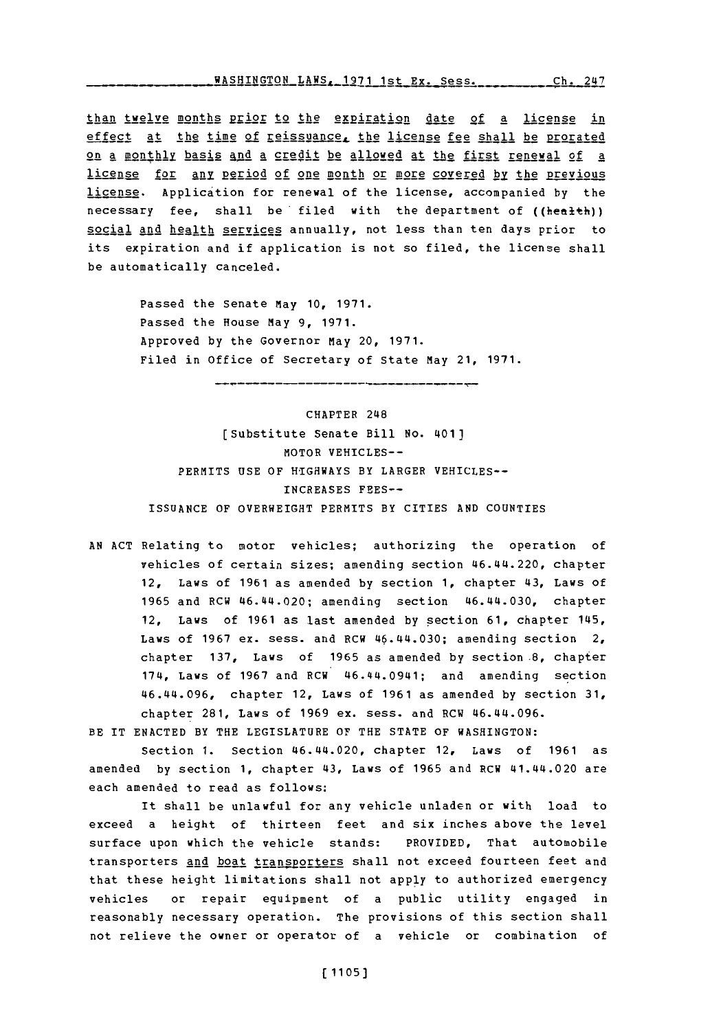**WASHINGTON LAWS, 1971 1st Ex. Sess. Ch. 2** 

than twelve months prior to the expiration date of a license in effect at the time of reissuance, the license fee shall be prorated on a monthly basis and a credit be allowed at the first renewal of a license for any period of one month or more covered by the previous license.. Application for renewal of the license, accompanied **by** the necessary fee, shall be filed with the department of ((health)) social and health services annually, not less than ten days prior to its expiration and if application is not so filed, the license shall be automatically canceled.

> Passed the Senate May **10, 1971.** Passed the House May **9, 1971.** Approved **by** the Governor May 20, **1971.** Filed in Office of Secretary of State May 21, **1971.**

CHAPTER 248 [Substitute Senate Bill No. 401] MOTOR VEHICLES-- PERMITS **USE** OF HIGHWAYS BY LARGER VEHICLES-- **INCREASES FEES-- ISSUANCE** OF OVERWEIGHT PERMITS BY CITIES **AND COUNTIES**

**AN ACT** Relating to motor vehicles; authorizing the operation of vehicles of certain sizes; amending section 46.44.220, chapter 12, Laws of **1961** as amended **by** section **1,** chapter 43, Laws of **1965** and RCW 46.44.020; amending section 46.44.030, chapter 12, Laws of **1961** as last amended **by** section **61,** chapter 145, Laws of **1967** ex. sess. and RCW 46.44.030; amending section 2, chapter **137,** Laws of **1965** as amended **by** section.8, chapter 174, Laws of **1967** and RCW 46.44.0941; and amending section 46.44.096, chapter 12, Laws of **1961** as amended **by** section **31,** chapter **281,** Laws of **1969** ex. sess. and RCW 46.44.096.

BE IT **ENACTED** BY THE LEGISLATURE OF THE **STATE** OF WASHINGTON:

Section **1.** Section 46.44.020, chapter 12, Laws of **1961** as amended **by** section **1,** chapter 43, Laws of **1965** and RCW 41.44.020 are each amended to read as follows:

it shall be unlawful for any vehicle unladen or with load to exceed a height of thirteen feet and six inches above the level surface upon which the vehicle stands: PROVIDED, That automobile transporters and boat transporters shall not exceed fourteen feet and that these height limitations shall not apply to authorized emergency vehicles or repair equipment of a public utility engaged in reasonably necessary operation. The provisions of this section shall not relieve the owner or operator of a vehicle or combination of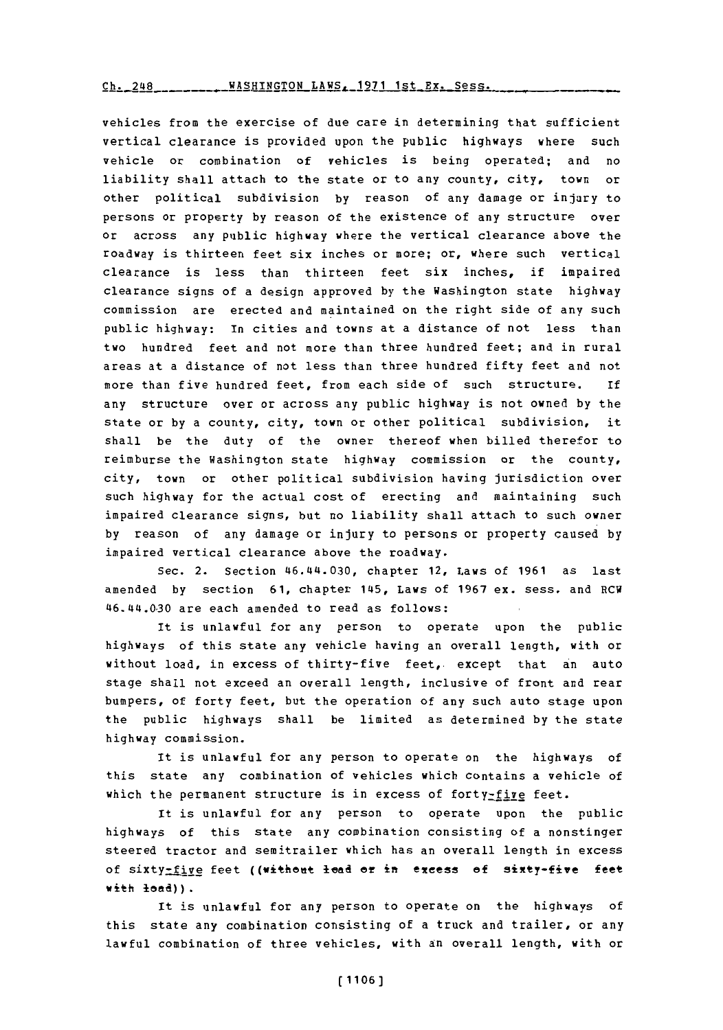Ch. 248 - - - - - - - - XASHINGTON LAWS. 1971 1st Ex. Sess.

vehicles from the exercise of due care in determining that sufficient vertical clearance is provided upon the public highways where such vehicle or combination of vehicles is being operated; and no liability shall attach to the state or to any county, city, town or other political subdivision **by** reason of any damage or injury to persons or property **by** reason of the existence of any structure over or across any public highway where the vertical clearance above the roadway is thirteen feet six inches or more; or, where such vertical clearance is less than thirteen feet six inches, if impaired clearance signs of a design approved **by** the Washington state highway commission are erected and maintained on the right side of any such public highway: In cities and towns at a distance of not less than two hundred feet and not more than three hundred feet; and in rural areas at a distance of not less than three hundred fifty feet and not more than five hundred feet, from each side of such structure. **if** any structure over or across any public highway is not owned **by** the state or **by** a county, city, town or other political subdivision, it shall be the duty of the owner thereof when billed therefor to reimburse the Washington state highway commission or the county, city, town or other political subdivision having jurisdiction over such highway for the actual cost of erecting and maintaining such impaired clearance signs, but no liability shall attach to such owner **by** reason of any damage or injury to persons or property caused **by** impaired vertical clearance above the roadway.

Sec. 2. Section 46.4t4.030, chapter 12, Laws of **1961** as last amended **by** section **61,** chapter 14\$5, Laws of **1967** ex. sess. and RCW 46.44t.030 are each amended to read as follows:

It is unlawful for any person to operate upon the public highways of this state any vehicle having an overall length, with or without load, in excess of thirty-five feet, except that an auto stage shall not exceed an overall length, inclusive of front and rear bumpers, of forty feet, but the operation of any such auto stage upon the public highways shall be limited as determined **by** the state highway commission.

It is unlawful for any person to operate on the highways of this state any combination of vehicles which contains a vehicle of which the permanent structure is in excess of forty- $fix$ e feet.

It is unlawful for any person to operate upon the public highways of this state any combination consisting of a nonstinger steered tractor and semitrailer which has an overall length in excess of sixty-five feet ((without lead or in excess of sixty-five feet with **lead)).**

It is unlawful for any person to operate on the highways of this state any combination consisting of a truck and trailer, or any lawful combination of three vehicles, with an overall length, with or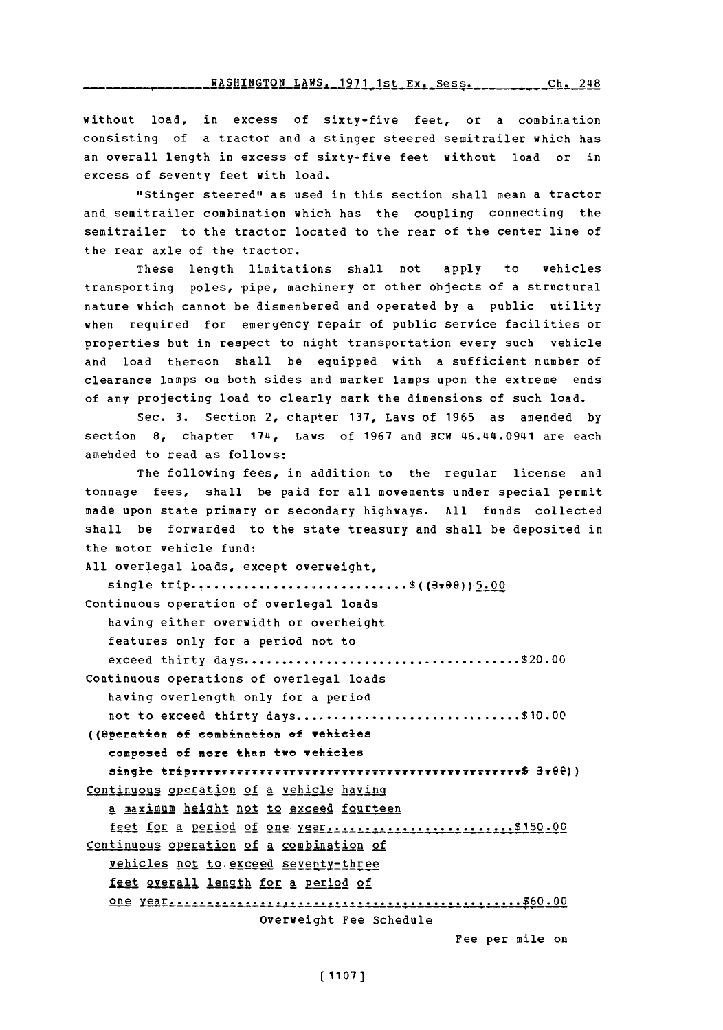without load, in excess of sixty-five feet, or a combination consisting of a tractor and a stinger steered semitrailer which has an overall length in excess of sixty-five feet without load or in excess of seventy feet with load.

"Stinger steered" as used in this section shall mean a tractor and semitrailer combination which has the coupling connecting the semitrailer to the tractor located to the rear of the center line of the rear axle of the tractor.

These length limitations shall not apply to vehicles transporting poles, pipe, machinery or other objects of a structural nature which cannot be dismembered and operated **by** a public utility when required for emergency repair of public service facilities or properties but in respect to night transportation every such vehicle and load thereon shall be equipped with a sufficient number of clearance lamps on both sides and marker lamps upon the extreme ends of any projecting load to clearly mark the dimensions of such load.

Sec. **3.** Section 2, chapter **137,** Laws of **1965** as amended **by** section **8,** chapter 174, Laws of **1967** and RCW 46.L44.0941 are each amehded to read as follows:

The following fees, in addition to the regular license and tonnage fees, shall be paid for all movements under special permit made upon state primary or secondary highways. **All** funds collected shall be forwarded to the state treasury and shall be deposited in the motor vehicle fund:

**All** overlegal loads, except overweight, single trip.............................\$((3+00))5.00 Continuous operation of overlegal loads having either overwidth or overheight features only for a period not to exceed thirty **days........................................** \$20.00 Continuous operations of overlegal loads having overlength only for a period not to exceed thirty **days................................ \$10.00** ((Operation of combination of vehicles compoed **of** more than~ two vehieles Simlie **~f~T~TT1T??~?TT1TtTT77?** \$3 79e)) Continuous operation of a vehicle having a maximum height not to exceed fourteen feet for **A** peliod of one **....................----------- \$150.00** Continuous operation of a combination of vehicles not to exceed seventy-three feet overall length for a period of on e **ear....................................... \$60.00** overweight Fee Schedule Fee per mile on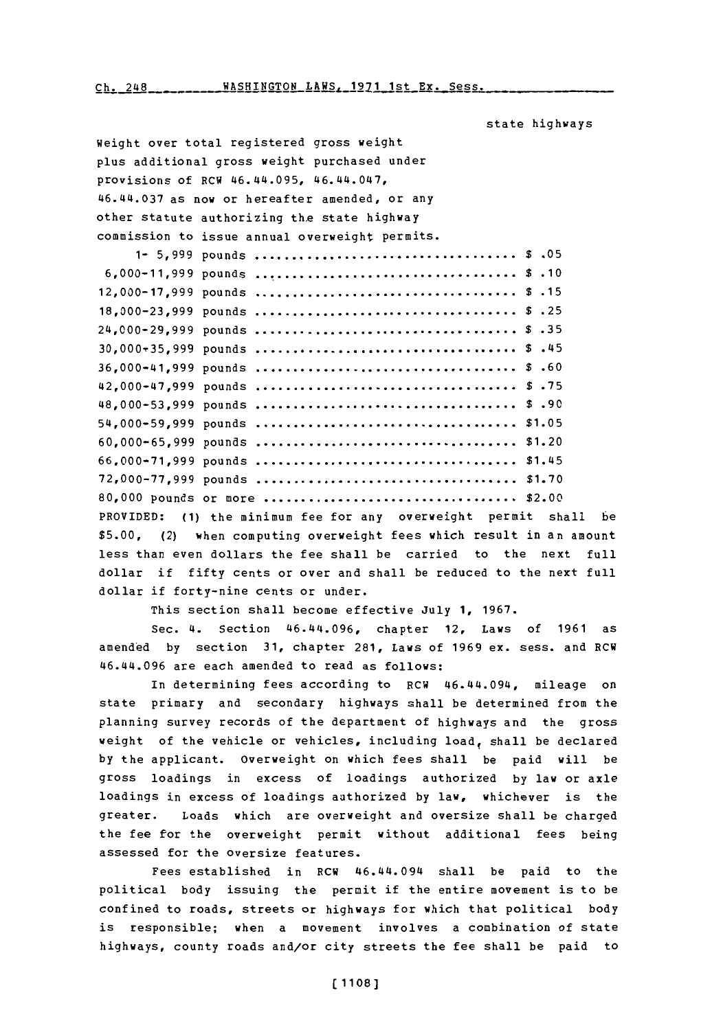$Ch. 248$ <br>**WASHINGTON LAWS. 1971 1st Ex. Sess.** 

state highways

Weight over total registered gross weight plus additional gross weight purchased under provisions of RCW 46.44.095, 46. 44.047, 46.44.037 as n ow or hereafter amended, or any other statute authorizing the state highway commission to issue annual overweight permits. **1- 5,999** pounds **.. . . . . . . . . . . . . . .. \$ .05 6,000-11,999** pounds **.. . . . . . . . . . . . . . .. \$ .10 12,000-17,999** pounds **.. . . . . . . . . . . . . . . .. \$ .15 18,000-23,999** pounds **.. . . . . . . . . . . . . . . .. \$ .25** 24,000-29,999 pounds **.. . . . . . . . . . . . . . . .. \$ .35 30, 000,35,999** pounds **.. . . . . . . . . . . . . . . .. \$** .45 **36,000-41,999** pounds **.. . . . . . . . . . . . . . . .. \$ .60** 42,000-47,1999 pounds **.. . . . . . . . . . . . . . . .. \$ .75 48,000-53,999** pounds **.. . . . . . . . . . . . . . . . \$ .90 54,000-59,999** pounds **. . . . . . . . . . . . . . . .. \$1.05 60, 000-65,999** pounds **.. . . . . . . . . . . . . . . ..** \$1.20 **66,000-71,999** pounds **.. . . . . . . . . . . . . . . ..** \$1.45 **72,000-77,999** pounds **. . . . . . . . . . . . . . . .. \$1.70 80,000** pounds or **more....................................** \$2.00 PROVIDED: **(1)** the minimum fee for any overweight permit shall be **\$5.00,** (2) when computing overweight fees which result in an amount less than even dollars the fee shall be carried to the next full dollar if fifty cents or over and shall be reduced to the next full dollar if forty-nine cents or under.

This section shall become effective July **1, 1967.**

Sec. 4. Section 46.44.096, chapter 12, Laws of **1961** as amended **by** section **31,** chapter **281,** Laws of **1969** ex. sess. and RCH 46.44.096 are each amended to read as follows:

In determining fees according to RCW 46.44.094, mileage on state primary and secondary highways shall be determined from the planning survey records of the department of highways and the gross weight of the vehicle or vehicles, including load, shall be declared **by** the applicant. overweight on which fees shall be paid will be gross loadings in excess of loadings authorized **by** law or axle loadings in excess of loadings authorized **by** law, whichever is the greater. Loads which are overweight and oversize shall be charged the fee for the overweight permit without additional fees being assessed for the oversize features.

Fees established in RCW 46.44.094 shall be paid to the political body issuing the permit if the entire movement is to be confined to roads, streets or highways for which that political body is responsible; when a movement involves a combination of state highways, county roads and/or city streets the fee shall be paid to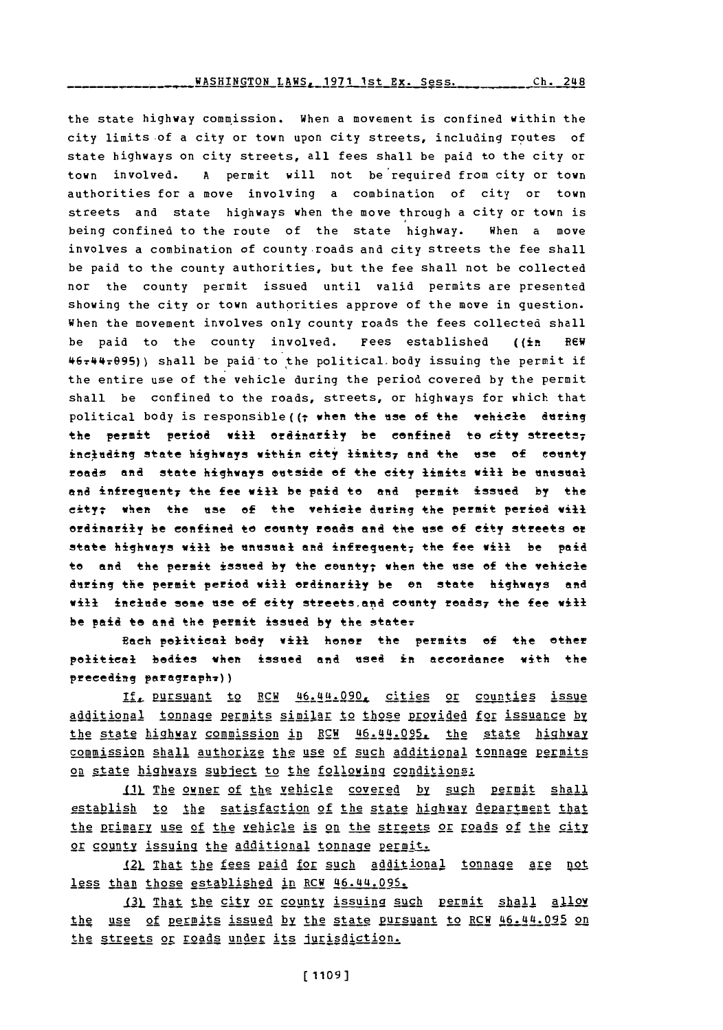## WASHINGTON LAWS, **1971** 1st Ex. Sess. $Ch. 248$

the state highway commission. When a movement is confined within the city limits of a city or town upon city streets, including routes of state highways on city streets, all fees shall be paid to the city or town involved. **A** permit will not be required from city or town authorities for a move involving a combination of city or town streets and state highways when the move through a city or town is being confined to the route of the state highway. When a move involves a combination of county-roads and city streets the fee shall be paid to the county authorities, but the fee shall not be collected nor the county permit issued until valid permits are presented showing the city or town authorities approve of the move in question. When the movement involves only county roads the fees collected shall be paid to the county involved. Fees established ((in **Rev 46?M'17@9S))** shall be paidto 'the political~body issuing the permit if the entire use of the vehicle during the period covered **by** the permit shall be confined to the roads, streets, or highways for which that political body is responsible ( $\uparrow$  when the use of the vehicle during the permit period will ordinarily be confined to city streets; including state highways within city limits<sub>7</sub> and the use of county roads and state highways outside of the city limits will be unusual and infrequent, the fee will be paid to and permit issued by the city; when the use of the vehisle during the permit period will ordinarily be confined to county roads and the use **of** city streets or state highways will be unusual and infrequent, the fee will be paid to and the permit issued by the county; when the use of the vehicle during the permit period will ordinarily be an state highways and will include some use of city streets, and county roads<sub>7</sub> the fee will be paid to **and** the permit issued *by* the **state-.**

**Ech** political **body** will hoter the permits **of** the ether poitical bodies when issued **and** used in accordance with the prceeding paragraph?))

If, pursuant to RCW 46.44.090, cities or counties issue additional tonnage permits similar to those provided for issuance by the state highway commission in RCW 46.44.095, the state highway commission shall authorize the use of such additional tonnage permits on state highways subject to the following conditions:

**")j Thg** 2owpe **of** :the vehicle covered **bpy** such perrnit shall establish to the satisfaction of the state highway department that the primary use of the vehicle is on the streets or roads of the city or county issuing the additional tonnage permit.

12) That the fees paid for such additional tonnage are not less than those established in RCW 46.44.095.

131 That the city or county issuing such permit shall allow the use of permits issued by the state pursuant to RCW 46.44.095 on the streets or roads under its jurisdiction.